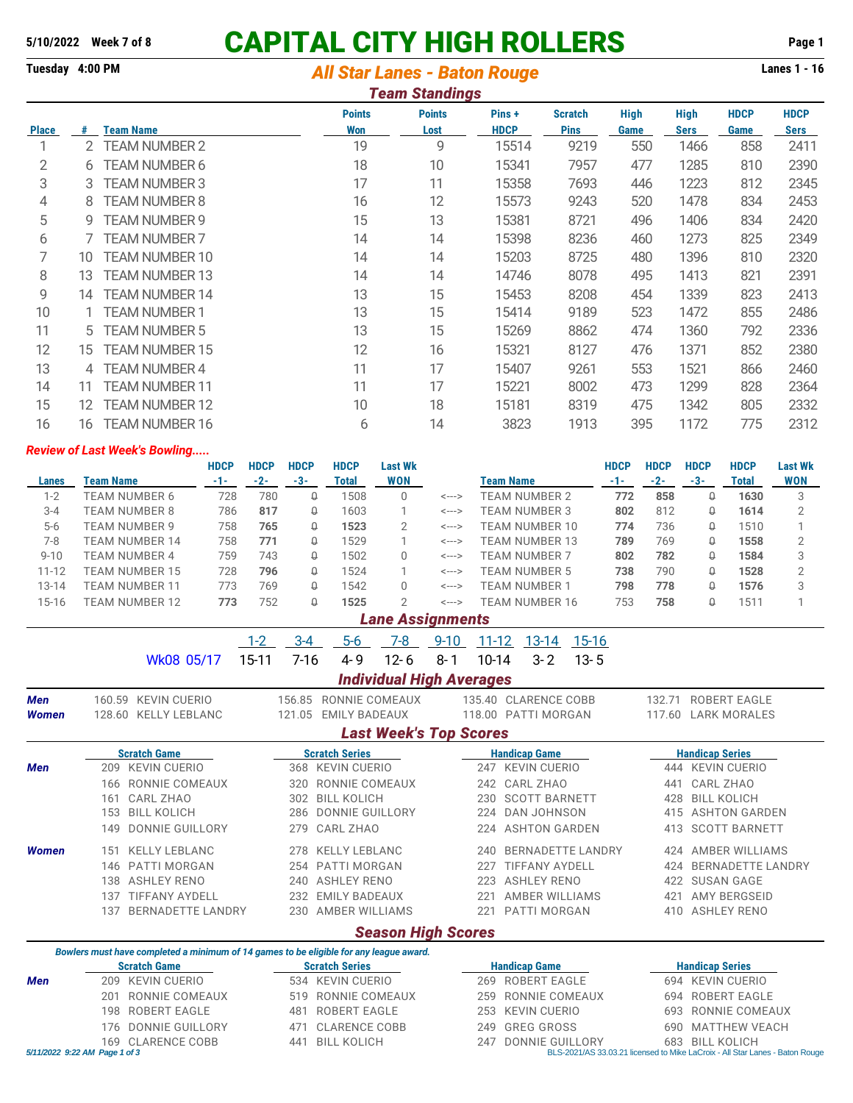## **5/10/2022 Week 7 of 8 CAPITAL CITY HIGH ROLLERS Page 1**

## **Tuesday 4:00 PM** *All Star Lanes - Baton Rouge* **Lanes 1 - 16**

| <b>Team Standings</b> |                |                                                               |                             |                       |                      |                               |                     |                            |                     |                     |  |
|-----------------------|----------------|---------------------------------------------------------------|-----------------------------|-----------------------|----------------------|-------------------------------|---------------------|----------------------------|---------------------|---------------------|--|
| <b>Place</b>          | #              | <b>Team Name</b>                                              | <b>Points</b><br><b>Won</b> | <b>Points</b><br>Lost | Pins+<br><b>HDCP</b> | <b>Scratch</b><br><b>Pins</b> | <b>High</b><br>Game | <b>High</b><br><b>Sers</b> | <b>HDCP</b><br>Game | <b>HDCP</b><br>Sers |  |
| 1                     | $\overline{2}$ | <b>TEAM NUMBER 2</b>                                          | 19                          | 9                     | 15514                | 9219                          | 550                 | 1466                       | 858                 | 2411                |  |
| 2                     | 6              | TEAM NUMBER 6                                                 | 18                          | 10                    | 15341                | 7957                          | 477                 | 1285                       | 810                 | 2390                |  |
| 3                     | 3              | <b>TEAM NUMBER 3</b>                                          | 17                          | 11                    | 15358                | 7693                          | 446                 | 1223                       | 812                 | 2345                |  |
| 4                     | 8              | <b>TEAM NUMBER 8</b>                                          | 16                          | 12                    | 15573                | 9243                          | 520                 | 1478                       | 834                 | 2453                |  |
| 5                     | 9              | TEAM NUMBER 9                                                 | 15                          | 13                    | 15381                | 8721                          | 496                 | 1406                       | 834                 | 2420                |  |
| 6                     |                | <b>TEAM NUMBER 7</b>                                          | 14                          | 14                    | 15398                | 8236                          | 460                 | 1273                       | 825                 | 2349                |  |
| 7                     | 10             | <b>TEAM NUMBER 10</b>                                         | 14                          | 14                    | 15203                | 8725                          | 480                 | 1396                       | 810                 | 2320                |  |
| 8                     | 13             | TEAM NUMBER 13                                                | 14                          | 14                    | 14746                | 8078                          | 495                 | 1413                       | 821                 | 2391                |  |
| 9                     | 14             | <b>TEAM NUMBER 14</b>                                         | 13                          | 15                    | 15453                | 8208                          | 454                 | 1339                       | 823                 | 2413                |  |
| 10                    |                | TEAM NUMBER 1                                                 | 13                          | 15                    | 15414                | 9189                          | 523                 | 1472                       | 855                 | 2486                |  |
| 11                    | 5              | TEAM NUMBER 5                                                 | 13                          | 15                    | 15269                | 8862                          | 474                 | 1360                       | 792                 | 2336                |  |
| 12                    | 15             | <b>TEAM NUMBER 15</b>                                         | 12                          | 16                    | 15321                | 8127                          | 476                 | 1371                       | 852                 | 2380                |  |
| 13                    | 4              | <b>TEAM NUMBER 4</b>                                          | 11                          | 17                    | 15407                | 9261                          | 553                 | 1521                       | 866                 | 2460                |  |
| 14                    | 11             | <b>TEAM NUMBER 11</b>                                         | 11                          | 17                    | 15221                | 8002                          | 473                 | 1299                       | 828                 | 2364                |  |
| 15                    | 12             | <b>TEAM NUMBER 12</b>                                         | 10                          | 18                    | 15181                | 8319                          | 475                 | 1342                       | 805                 | 2332                |  |
| 16                    | 16             | <b>TEAM NUMBER 16</b><br><b>Doviow of Last Wook's Rowling</b> | 6                           | 14                    | 3823                 | 1913                          | 395                 | 1172                       | 775                 | 2312                |  |

## *Review of Last Week's Bowling.....*

|           |                | <b>HDCP</b> | <b>HDCP</b> | <b>HDCP</b> | <b>HDCP</b> | Last Wk           |       |                      | <b>HDCP</b> | <b>HDCP</b> | <b>HDCP</b> | <b>HDCP</b> | <b>Last Wk</b> |
|-----------|----------------|-------------|-------------|-------------|-------------|-------------------|-------|----------------------|-------------|-------------|-------------|-------------|----------------|
| Lanes     | Team Name      | -1-         | $-2-$       | -3-         | Total       | <b>WON</b>        |       | Team Name            |             | $-2-$       | $-3-$       | Total       | <b>WON</b>     |
| 1-2       | FEAM NUMBER 6  | 728         | 780         | ₩           | 1508        |                   | <---> | TEAM NUMBER 2        | 772         | 858         | Q           | 1630        |                |
| $3 - 4$   | TEAM NUMBER 8  | 786         | 817         | Q           | 1603        |                   | <---> | TEAM NUMBER 3        | 802         | 812         | Û           | 1614        |                |
| $5 - 6$   | TEAM NUMBER 9  | 758         | 765         | ₩           | 1523        | 2                 | <---> | TEAM NUMBER 10       | 774         | 736         | Û           | 1510        |                |
| 7-8       | TEAM NUMBER 14 | 758         | 771         |             | 1529        |                   | <---> | TEAM NUMBER 13       | 789         | 769         | Û           | 1558        |                |
| $9 - 10$  | TEAM NUMBER 4  | 759         | 743         | Û           | 1502        |                   | <---> | <b>TEAM NUMBER 7</b> | 802         | 782         | Û           | 1584        | 3              |
| $11 - 12$ | TEAM NUMBER 15 | 728         | 796         |             | 1524        |                   | <---> | <b>TEAM NUMBER 5</b> | 738         | 790         | Û           | 1528        | っ              |
| $13 - 14$ | TEAM NUMBER 11 | 773         | 769         | Û           | 1542        |                   | <---> | <b>TEAM NUMBER 1</b> | 798         | 778         | Û           | 1576        | 3              |
| $15 - 16$ | FEAM NUMBER 12 | 773         | 752         |             | 1525        |                   | <---> | TEAM NUMBER 16       | 753         | 758         | Û           | 1511        |                |
|           |                |             |             |             |             | I ana Aaaisnmanta |       |                      |             |             |             |             |                |

|       | Lane Assignments                |                                                                                        |                                         |                                 |  |  |  |  |  |  |  |  |  |  |
|-------|---------------------------------|----------------------------------------------------------------------------------------|-----------------------------------------|---------------------------------|--|--|--|--|--|--|--|--|--|--|
|       |                                 | $1 - 2$<br>$3 - 4$<br>$7-8$<br>$5-6$                                                   | $15 - 16$<br>$9 - 10$<br>11-12<br>13-14 |                                 |  |  |  |  |  |  |  |  |  |  |
|       | Wk08 05/17                      | $15 - 11$<br>$7 - 16$<br>4-9<br>$12 - 6$                                               | $8 - 1$<br>10-14<br>$13 - 5$<br>$3 - 2$ |                                 |  |  |  |  |  |  |  |  |  |  |
|       |                                 | <b>Individual High Averages</b>                                                        |                                         |                                 |  |  |  |  |  |  |  |  |  |  |
| Men   | 160.59<br>KEVIN CUERIO          | RONNIE COMEAUX<br>156.85                                                               | 135.40<br><b>CLARENCE COBB</b>          | <b>ROBERT EAGLE</b><br>132.71   |  |  |  |  |  |  |  |  |  |  |
| Women | 128.60 KELLY LEBLANC            | <b>EMILY BADEAUX</b><br>121.05                                                         | PATTI MORGAN<br>118.00                  | <b>LARK MORALES</b><br>117.60   |  |  |  |  |  |  |  |  |  |  |
|       |                                 | <b>Last Week's Top Scores</b>                                                          |                                         |                                 |  |  |  |  |  |  |  |  |  |  |
|       | <b>Scratch Game</b>             | <b>Scratch Series</b>                                                                  | <b>Handicap Game</b>                    | <b>Handicap Series</b>          |  |  |  |  |  |  |  |  |  |  |
| Men   | <b>KEVIN CUERIO</b><br>209      | KEVIN CUERIO<br>368                                                                    | KEVIN CUERIO<br>247                     | <b>KEVIN CUERIO</b><br>444      |  |  |  |  |  |  |  |  |  |  |
|       | RONNIE COMEAUX<br>166           | RONNIE COMEAUX<br>320                                                                  | CARL ZHAO<br>242                        | CARL ZHAO<br>441                |  |  |  |  |  |  |  |  |  |  |
|       | CARL ZHAO<br>161                | <b>BILL KOLICH</b><br>302                                                              | <b>SCOTT BARNETT</b><br>230             | <b>BILL KOLICH</b><br>428       |  |  |  |  |  |  |  |  |  |  |
|       | <b>BILL KOLICH</b><br>153       | DONNIE GUILLORY<br>286                                                                 | <b>DAN JOHNSON</b><br>224               | <b>ASHTON GARDEN</b><br>415     |  |  |  |  |  |  |  |  |  |  |
|       | <b>DONNIE GUILLORY</b><br>149   | CARL ZHAO<br>279                                                                       | <b>ASHTON GARDEN</b><br>224             | <b>SCOTT BARNETT</b><br>413     |  |  |  |  |  |  |  |  |  |  |
| Women | <b>KELLY LEBLANC</b><br>151     | 278 KELLY LEBLANC                                                                      | <b>BERNADETTE LANDRY</b><br>240         | AMBER WILLIAMS<br>424           |  |  |  |  |  |  |  |  |  |  |
|       | <b>PATTI MORGAN</b><br>146      | PATTI MORGAN<br>254                                                                    | <b>TIFFANY AYDELL</b><br>227            | <b>BERNADETTE LANDRY</b><br>424 |  |  |  |  |  |  |  |  |  |  |
|       | <b>ASHLEY RENO</b><br>138       | <b>ASHLEY RENO</b><br>240                                                              | <b>ASHLEY RENO</b><br>223               | <b>SUSAN GAGE</b><br>422        |  |  |  |  |  |  |  |  |  |  |
|       | <b>TIFFANY AYDELL</b><br>137    | <b>EMILY BADEAUX</b><br>232                                                            | AMBER WILLIAMS<br>221                   | <b>AMY BERGSEID</b><br>421      |  |  |  |  |  |  |  |  |  |  |
|       | <b>BERNADETTE LANDRY</b><br>137 | AMBER WILLIAMS<br>230                                                                  | PATTI MORGAN<br>221                     | <b>ASHLEY RENO</b><br>410       |  |  |  |  |  |  |  |  |  |  |
|       |                                 | <b>Season High Scores</b>                                                              |                                         |                                 |  |  |  |  |  |  |  |  |  |  |
|       |                                 | Bowlers must have completed a minimum of 14 games to be eligible for any league award. |                                         |                                 |  |  |  |  |  |  |  |  |  |  |
|       | <b>Scratch Game</b>             | <b>Scratch Series</b>                                                                  | <b>Handicap Game</b>                    | <b>Handicap Series</b>          |  |  |  |  |  |  |  |  |  |  |
| Men   | 209 KEVIN CUERIO                | 534 KEVIN CUERIO                                                                       | 269 ROBERT FAGLE                        | 694 KEVIN CUERIO                |  |  |  |  |  |  |  |  |  |  |

## *Men* 209 KEVIN CUERIO 534 KEVIN CUERIO 269 ROBERT EAGLE 694 KEVIN CUERIO 201 RONNIE COMEAUX 519 RONNIE COMEAUX 259 RONNIE COMEAUX 694 ROBERT EAGLE 198 ROBERT EAGLE 481 ROBERT EAGLE 253 KEVIN CUERIO 693 RONNIE COMEAUX 176 DONNIE GUILLORY 471 CLARENCE COBB 249 GREG GROSS 690 MATTHEW VEACH 169 CLARENCE COBB 441 BILL KOLICH 247 DONNIE GUILLORY 6911/2022 19:22 AM Page 1 of 3 *5/11/2022 9:22 AM Page 1 of 3* BLS-2021/AS 33.03.21 licensed to Mike LaCroix - All Star Lanes - Baton Rouge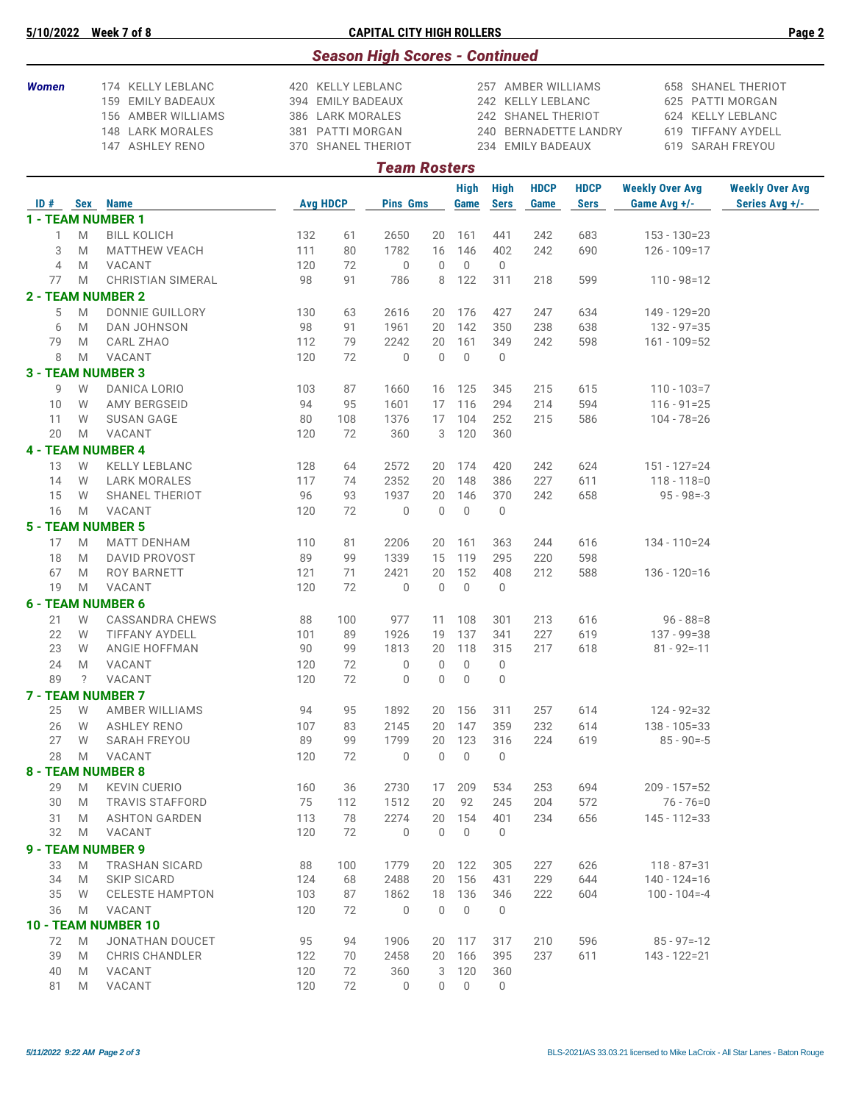|              | 5/10/2022 |        | Week 7 of 8                                                                                         |            |                                                                                                      | <b>CAPITAL CITY HIGH ROLLERS</b>      |                            |                             |                            |                                                                                    |                            |                                        | Page 2                                                                                                |
|--------------|-----------|--------|-----------------------------------------------------------------------------------------------------|------------|------------------------------------------------------------------------------------------------------|---------------------------------------|----------------------------|-----------------------------|----------------------------|------------------------------------------------------------------------------------|----------------------------|----------------------------------------|-------------------------------------------------------------------------------------------------------|
|              |           |        |                                                                                                     |            |                                                                                                      | <b>Season High Scores - Continued</b> |                            |                             |                            |                                                                                    |                            |                                        |                                                                                                       |
| <b>Women</b> |           |        | 174 KELLY LEBLANC<br>159 EMILY BADEAUX<br>156 AMBER WILLIAMS<br>148 LARK MORALES<br>147 ASHLEY RENO |            | 420 KELLY LEBLANC<br>394 EMILY BADEAUX<br>386 LARK MORALES<br>381 PATTI MORGAN<br>370 SHANEL THERIOT |                                       |                            |                             |                            | 257 AMBER WILLIAMS<br>242 KELLY LEBLANC<br>242 SHANEL THERIOT<br>234 EMILY BADEAUX | 240 BERNADETTE LANDRY      |                                        | 658 SHANEL THERIOT<br>625 PATTI MORGAN<br>624 KELLY LEBLANC<br>619 TIFFANY AYDELL<br>619 SARAH FREYOU |
|              |           |        |                                                                                                     |            |                                                                                                      | <b>Team Rosters</b>                   |                            |                             |                            |                                                                                    |                            |                                        |                                                                                                       |
|              |           |        | ID# Sex Name                                                                                        |            | <b>Avg HDCP</b>                                                                                      | <b>Pins Gms</b>                       |                            | <b>High</b><br>Game         | <b>High</b><br><b>Sers</b> | <b>HDCP</b><br>Game                                                                | <b>HDCP</b><br><b>Sers</b> | <b>Weekly Over Avg</b><br>Game Avg +/- | <b>Weekly Over Avg</b><br>Series Avg +/-                                                              |
|              |           |        | 1 - TEAM NUMBER 1                                                                                   |            |                                                                                                      |                                       |                            |                             |                            |                                                                                    |                            |                                        |                                                                                                       |
|              | 1         | M      | <b>BILL KOLICH</b>                                                                                  | 132        | 61                                                                                                   | 2650                                  | 20                         | 161                         | 441                        | 242                                                                                | 683                        | $153 - 130 = 23$                       |                                                                                                       |
|              | 3         | M      | <b>MATTHEW VEACH</b>                                                                                | 111        | 80                                                                                                   | 1782                                  | 16                         | 146                         | 402                        | 242                                                                                | 690                        | $126 - 109 = 17$                       |                                                                                                       |
|              | 4         | M      | VACANT                                                                                              | 120        | 72                                                                                                   | $\overline{0}$                        | $\mathbf{0}$               | $\mathbf 0$                 | $\mathbf 0$                |                                                                                    |                            |                                        |                                                                                                       |
|              | 77        | M      | <b>CHRISTIAN SIMERAL</b>                                                                            | 98         | 91                                                                                                   | 786                                   | 8                          | 122                         | 311                        | 218                                                                                | 599                        | $110 - 98 = 12$                        |                                                                                                       |
|              |           |        | <b>2 - TEAM NUMBER 2</b>                                                                            |            |                                                                                                      |                                       |                            |                             |                            |                                                                                    |                            |                                        |                                                                                                       |
|              | 5         | M      | <b>DONNIE GUILLORY</b>                                                                              | 130        | 63                                                                                                   | 2616                                  | 20                         | 176                         | 427                        | 247                                                                                | 634                        | $149 - 129 = 20$                       |                                                                                                       |
|              | 6         | M      | DAN JOHNSON                                                                                         | 98         | 91                                                                                                   | 1961                                  | 20                         | 142                         | 350                        | 238                                                                                | 638                        | $132 - 97 = 35$                        |                                                                                                       |
|              | 79<br>8   | M<br>M | CARL ZHAO<br>VACANT                                                                                 | 112<br>120 | 79<br>72                                                                                             | 2242<br>$\mathbf 0$                   | 20<br>$\mathbf 0$          | 161<br>$\mathbf 0$          | 349<br>$\mathbf 0$         | 242                                                                                | 598                        | $161 - 109 = 52$                       |                                                                                                       |
|              |           |        | <b>3 - TEAM NUMBER 3</b>                                                                            |            |                                                                                                      |                                       |                            |                             |                            |                                                                                    |                            |                                        |                                                                                                       |
|              | 9         | W      | <b>DANICA LORIO</b>                                                                                 | 103        | 87                                                                                                   | 1660                                  | 16                         | 125                         | 345                        | 215                                                                                | 615                        | $110 - 103 = 7$                        |                                                                                                       |
|              | 10        | W      | AMY BERGSEID                                                                                        | 94         | 95                                                                                                   | 1601                                  | 17                         | 116                         | 294                        | 214                                                                                | 594                        | $116 - 91 = 25$                        |                                                                                                       |
|              | 11        | W      | <b>SUSAN GAGE</b>                                                                                   | 80         | 108                                                                                                  | 1376                                  | 17                         | 104                         | 252                        | 215                                                                                | 586                        | $104 - 78 = 26$                        |                                                                                                       |
|              | 20        | M      | VACANT                                                                                              | 120        | 72                                                                                                   | 360                                   | 3                          | 120                         | 360                        |                                                                                    |                            |                                        |                                                                                                       |
|              |           |        | <b>4 - TEAM NUMBER 4</b>                                                                            |            |                                                                                                      |                                       |                            |                             |                            |                                                                                    |                            |                                        |                                                                                                       |
|              | 13        | W      | <b>KELLY LEBLANC</b>                                                                                | 128        | 64                                                                                                   | 2572                                  | 20                         | 174                         | 420                        | 242                                                                                | 624                        | $151 - 127 = 24$                       |                                                                                                       |
|              | 14        | W      | <b>LARK MORALES</b>                                                                                 | 117        | 74                                                                                                   | 2352                                  | 20                         | 148                         | 386                        | 227                                                                                | 611                        | $118 - 118 = 0$                        |                                                                                                       |
|              | 15<br>16  | W<br>M | SHANEL THERIOT<br>VACANT                                                                            | 96<br>120  | 93<br>72                                                                                             | 1937<br>$\mathbf 0$                   | 20<br>$\mathbf 0$          | 146<br>$\mathbb O$          | 370<br>$\mathbf 0$         | 242                                                                                | 658                        | $95 - 98 = -3$                         |                                                                                                       |
|              |           |        | <b>5 - TEAM NUMBER 5</b>                                                                            |            |                                                                                                      |                                       |                            |                             |                            |                                                                                    |                            |                                        |                                                                                                       |
|              | 17        | M      | <b>MATT DENHAM</b>                                                                                  | 110        | 81                                                                                                   | 2206                                  | 20                         | 161                         | 363                        | 244                                                                                | 616                        | 134 - 110=24                           |                                                                                                       |
|              | 18        | M      | <b>DAVID PROVOST</b>                                                                                | 89         | 99                                                                                                   | 1339                                  | 15                         | 119                         | 295                        | 220                                                                                | 598                        |                                        |                                                                                                       |
|              | 67        | M      | ROY BARNETT                                                                                         | 121        | 71                                                                                                   | 2421                                  | 20                         | 152                         | 408                        | 212                                                                                | 588                        | $136 - 120 = 16$                       |                                                                                                       |
|              | 19        | M      | VACANT                                                                                              | 120        | 72                                                                                                   | $\overline{0}$                        | $\mathbf 0$                | $\mathbf 0$                 | $\mathbf 0$                |                                                                                    |                            |                                        |                                                                                                       |
|              |           |        | <b>6 - TEAM NUMBER 6</b>                                                                            |            |                                                                                                      |                                       |                            |                             |                            |                                                                                    |                            |                                        |                                                                                                       |
|              | 21        | W      | <b>CASSANDRA CHEWS</b>                                                                              | 88         | 100                                                                                                  | 977                                   | 11                         | 108                         | 301                        | 213                                                                                | 616                        | $96 - 88 = 8$                          |                                                                                                       |
|              | 22        | W      | <b>TIFFANY AYDELL</b>                                                                               | 101        | 89                                                                                                   | 1926                                  | 19                         | 137                         | 341                        | 227                                                                                | 619                        | $137 - 99 = 38$                        |                                                                                                       |
|              | 23        | W      | ANGIE HOFFMAN                                                                                       | 90         | 99                                                                                                   | 1813                                  | 20                         | 118                         | 315                        | 217                                                                                | 618                        | $81 - 92 = -11$                        |                                                                                                       |
|              | 24<br>89  | M<br>? | VACANT<br>VACANT                                                                                    | 120<br>120 | 72<br>72                                                                                             | $\mathbf 0$<br>$\overline{0}$         | $\mathbf 0$<br>$\mathbf 0$ | $\mathbf{0}$<br>$\mathbf 0$ | $\mathbf 0$<br>$\mathbf 0$ |                                                                                    |                            |                                        |                                                                                                       |
|              |           |        | <b>7 - TEAM NUMBER 7</b>                                                                            |            |                                                                                                      |                                       |                            |                             |                            |                                                                                    |                            |                                        |                                                                                                       |
|              | 25        | W      | AMBER WILLIAMS                                                                                      | 94         | 95                                                                                                   | 1892                                  | 20                         | 156                         | 311                        | 257                                                                                | 614                        | $124 - 92 = 32$                        |                                                                                                       |
|              | 26        | W      | <b>ASHLEY RENO</b>                                                                                  | 107        | 83                                                                                                   | 2145                                  | 20                         | 147                         | 359                        | 232                                                                                | 614                        | $138 - 105 = 33$                       |                                                                                                       |
|              | 27        | W      | <b>SARAH FREYOU</b>                                                                                 | 89         | 99                                                                                                   | 1799                                  | 20                         | 123                         | 316                        | 224                                                                                | 619                        | $85 - 90 = -5$                         |                                                                                                       |
|              | 28        | M      | VACANT                                                                                              | 120        | 72                                                                                                   | $\mathbf 0$                           | $\mathbf 0$                | $\mathbf 0$                 | $\mathbf 0$                |                                                                                    |                            |                                        |                                                                                                       |
|              |           |        | <b>8 - TEAM NUMBER 8</b>                                                                            |            |                                                                                                      |                                       |                            |                             |                            |                                                                                    |                            |                                        |                                                                                                       |
|              | 29        | M      | <b>KEVIN CUERIO</b>                                                                                 | 160        | 36                                                                                                   | 2730                                  | 17                         | 209                         | 534                        | 253                                                                                | 694                        | $209 - 157 = 52$                       |                                                                                                       |
|              | 30        | M      | <b>TRAVIS STAFFORD</b>                                                                              | 75         | 112                                                                                                  | 1512                                  | 20                         | 92                          | 245                        | 204                                                                                | 572                        | $76 - 76 = 0$                          |                                                                                                       |
|              | 31<br>32  | M<br>M | <b>ASHTON GARDEN</b><br>VACANT                                                                      | 113<br>120 | 78<br>72                                                                                             | 2274<br>$\mathbf 0$                   | 20<br>$\mathbf 0$          | 154<br>$\mathbf 0$          | 401<br>0                   | 234                                                                                | 656                        | $145 - 112 = 33$                       |                                                                                                       |
|              |           |        | 9 - TEAM NUMBER 9                                                                                   |            |                                                                                                      |                                       |                            |                             |                            |                                                                                    |                            |                                        |                                                                                                       |
|              | 33        | M      | <b>TRASHAN SICARD</b>                                                                               | 88         | 100                                                                                                  | 1779                                  | 20                         | 122                         | 305                        | 227                                                                                | 626                        | $118 - 87 = 31$                        |                                                                                                       |
|              | 34        | M      | <b>SKIP SICARD</b>                                                                                  | 124        | 68                                                                                                   | 2488                                  | 20                         | 156                         | 431                        | 229                                                                                | 644                        | $140 - 124 = 16$                       |                                                                                                       |
|              | 35        | W      | <b>CELESTE HAMPTON</b>                                                                              | 103        | 87                                                                                                   | 1862                                  | 18                         | 136                         | 346                        | 222                                                                                | 604                        | $100 - 104 = -4$                       |                                                                                                       |
|              | 36        | M      | VACANT                                                                                              | 120        | 72                                                                                                   | $\mathbf 0$                           | $\mathbf 0$                | $\mathbf 0$                 | $\mathbf 0$                |                                                                                    |                            |                                        |                                                                                                       |
|              |           |        | 10 - TEAM NUMBER 10                                                                                 |            |                                                                                                      |                                       |                            |                             |                            |                                                                                    |                            |                                        |                                                                                                       |
|              | 72        | M      | JONATHAN DOUCET                                                                                     | 95         | 94                                                                                                   | 1906                                  |                            | 20 117                      | 317                        | 210                                                                                | 596                        | $85 - 97 = -12$                        |                                                                                                       |
|              | 39        | M      | <b>CHRIS CHANDLER</b>                                                                               | 122        | 70                                                                                                   | 2458                                  | 20                         | 166                         | 395                        | 237                                                                                | 611                        | 143 - 122=21                           |                                                                                                       |
|              | 40<br>81  | M<br>M | VACANT<br>VACANT                                                                                    | 120<br>120 | 72<br>72                                                                                             | 360<br>$\mathbf 0$                    | 3<br>0                     | 120<br>$\mathbf 0$          | 360<br>0                   |                                                                                    |                            |                                        |                                                                                                       |
|              |           |        |                                                                                                     |            |                                                                                                      |                                       |                            |                             |                            |                                                                                    |                            |                                        |                                                                                                       |